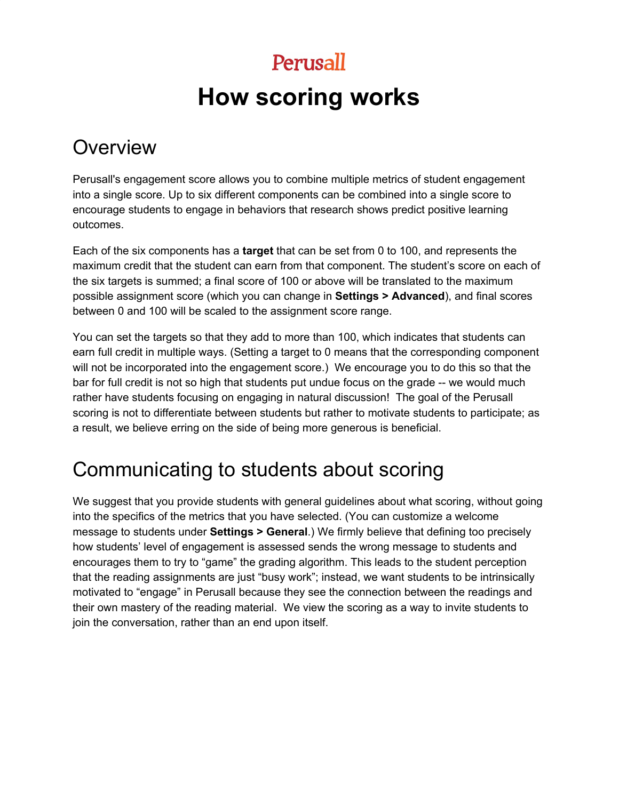# **How scoring works**

## **Overview**

Perusall's engagement score allows you to combine multiple metrics of student engagement into a single score. Up to six different components can be combined into a single score to encourage students to engage in behaviors that research shows predict positive learning outcomes.

Each of the six components has a **target** that can be set from 0 to 100, and represents the maximum credit that the student can earn from that component. The student's score on each of the six targets is summed; a final score of 100 or above will be translated to the maximum possible assignment score (which you can change in **Settings > Advanced**), and final scores between 0 and 100 will be scaled to the assignment score range.

You can set the targets so that they add to more than 100, which indicates that students can earn full credit in multiple ways. (Setting a target to 0 means that the corresponding component will not be incorporated into the engagement score.) We encourage you to do this so that the bar for full credit is not so high that students put undue focus on the grade -- we would much rather have students focusing on engaging in natural discussion! The goal of the Perusall scoring is not to differentiate between students but rather to motivate students to participate; as a result, we believe erring on the side of being more generous is beneficial.

## Communicating to students about scoring

We suggest that you provide students with general guidelines about what scoring, without going into the specifics of the metrics that you have selected. (You can customize a welcome message to students under **Settings > General**.) We firmly believe that defining too precisely how students' level of engagement is assessed sends the wrong message to students and encourages them to try to "game" the grading algorithm. This leads to the student perception that the reading assignments are just "busy work"; instead, we want students to be intrinsically motivated to "engage" in Perusall because they see the connection between the readings and their own mastery of the reading material. We view the scoring as a way to invite students to join the conversation, rather than an end upon itself.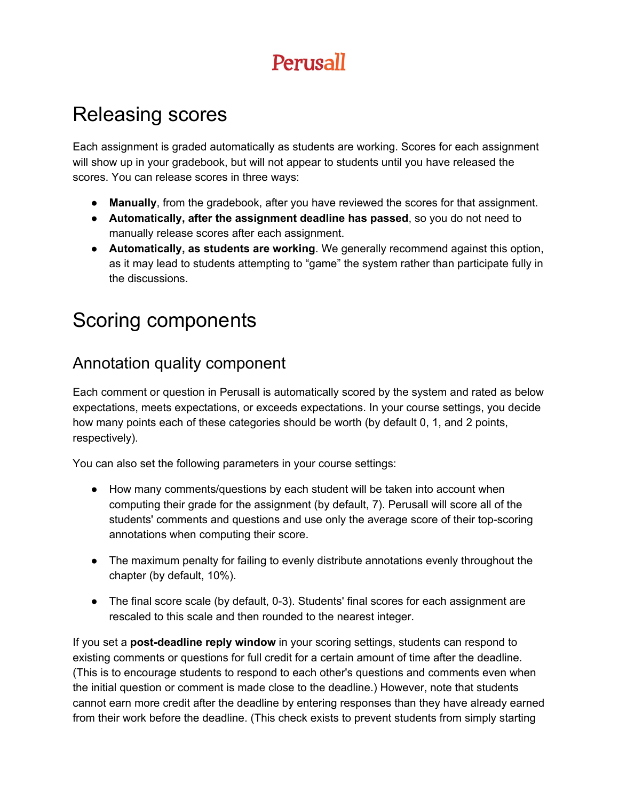## Releasing scores

Each assignment is graded automatically as students are working. Scores for each assignment will show up in your gradebook, but will not appear to students until you have released the scores. You can release scores in three ways:

- **● Manually**, from the gradebook, after you have reviewed the scores for that assignment.
- **● Automatically, after the assignment deadline has passed**, so you do not need to manually release scores after each assignment.
- **● Automatically, as students are working**. We generally recommend against this option, as it may lead to students attempting to "game" the system rather than participate fully in the discussions.

## Scoring components

### Annotation quality component

Each comment or question in Perusall is automatically scored by the system and rated as below expectations, meets expectations, or exceeds expectations. In your course settings, you decide how many points each of these categories should be worth (by default 0, 1, and 2 points, respectively).

You can also set the following parameters in your course settings:

- How many comments/questions by each student will be taken into account when computing their grade for the assignment (by default, 7). Perusall will score all of the students' comments and questions and use only the average score of their top-scoring annotations when computing their score.
- The maximum penalty for failing to evenly distribute annotations evenly throughout the chapter (by default, 10%).
- The final score scale (by default, 0-3). Students' final scores for each assignment are rescaled to this scale and then rounded to the nearest integer.

If you set a **post-deadline reply window** in your scoring settings, students can respond to existing comments or questions for full credit for a certain amount of time after the deadline. (This is to encourage students to respond to each other's questions and comments even when the initial question or comment is made close to the deadline.) However, note that students cannot earn more credit after the deadline by entering responses than they have already earned from their work before the deadline. (This check exists to prevent students from simply starting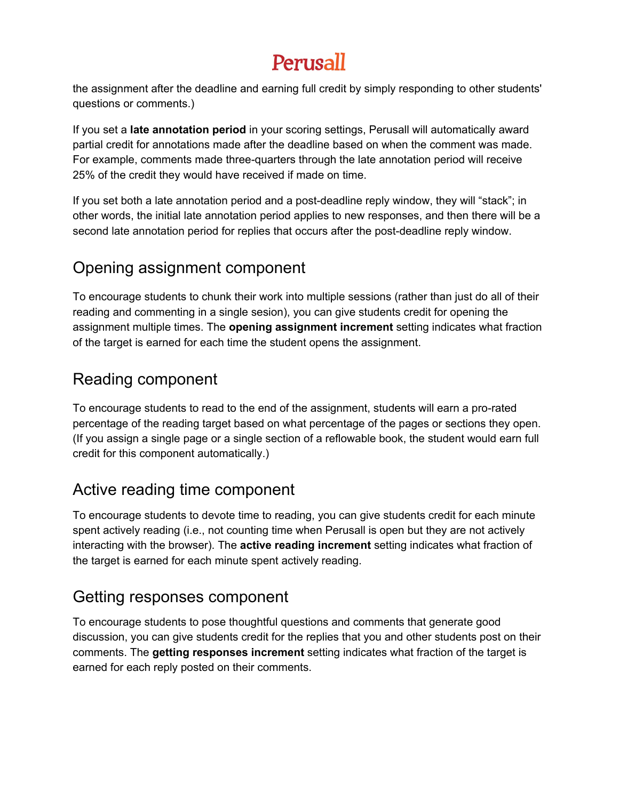the assignment after the deadline and earning full credit by simply responding to other students' questions or comments.)

If you set a **late annotation period** in your scoring settings, Perusall will automatically award partial credit for annotations made after the deadline based on when the comment was made. For example, comments made three-quarters through the late annotation period will receive 25% of the credit they would have received if made on time.

If you set both a late annotation period and a post-deadline reply window, they will "stack"; in other words, the initial late annotation period applies to new responses, and then there will be a second late annotation period for replies that occurs after the post-deadline reply window.

### Opening assignment component

To encourage students to chunk their work into multiple sessions (rather than just do all of their reading and commenting in a single sesion), you can give students credit for opening the assignment multiple times. The **opening assignment increment** setting indicates what fraction of the target is earned for each time the student opens the assignment.

#### Reading component

To encourage students to read to the end of the assignment, students will earn a pro-rated percentage of the reading target based on what percentage of the pages or sections they open. (If you assign a single page or a single section of a reflowable book, the student would earn full credit for this component automatically.)

### Active reading time component

To encourage students to devote time to reading, you can give students credit for each minute spent actively reading (i.e., not counting time when Perusall is open but they are not actively interacting with the browser). The **active reading increment** setting indicates what fraction of the target is earned for each minute spent actively reading.

### Getting responses component

To encourage students to pose thoughtful questions and comments that generate good discussion, you can give students credit for the replies that you and other students post on their comments. The **getting responses increment** setting indicates what fraction of the target is earned for each reply posted on their comments.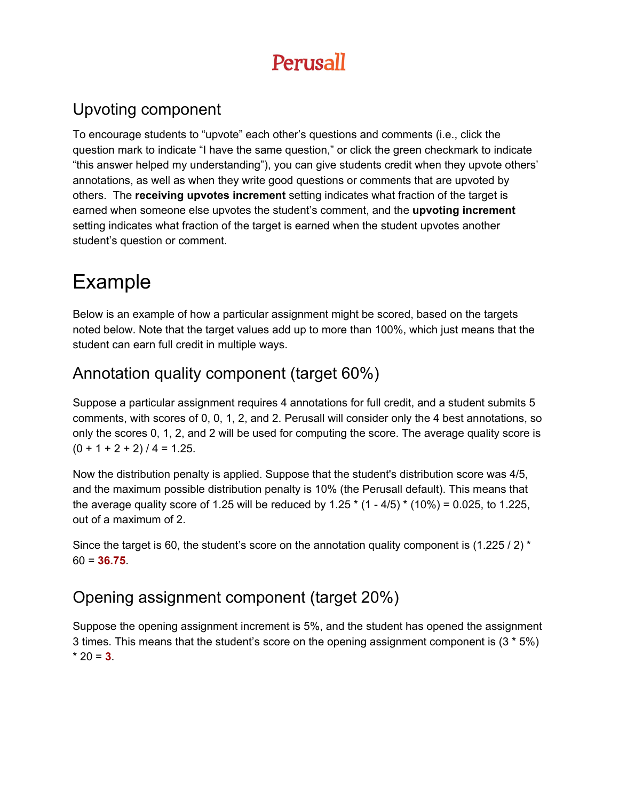### Upvoting component

To encourage students to "upvote" each other's questions and comments (i.e., click the question mark to indicate "I have the same question," or click the green checkmark to indicate "this answer helped my understanding"), you can give students credit when they upvote others' annotations, as well as when they write good questions or comments that are upvoted by others. The **receiving upvotes increment** setting indicates what fraction of the target is earned when someone else upvotes the student's comment, and the **upvoting increment** setting indicates what fraction of the target is earned when the student upvotes another student's question or comment.

# Example

Below is an example of how a particular assignment might be scored, based on the targets noted below. Note that the target values add up to more than 100%, which just means that the student can earn full credit in multiple ways.

### Annotation quality component (target 60%)

Suppose a particular assignment requires 4 annotations for full credit, and a student submits 5 comments, with scores of 0, 0, 1, 2, and 2. Perusall will consider only the 4 best annotations, so only the scores 0, 1, 2, and 2 will be used for computing the score. The average quality score is  $(0 + 1 + 2 + 2) / 4 = 1.25$ .

Now the distribution penalty is applied. Suppose that the student's distribution score was 4/5, and the maximum possible distribution penalty is 10% (the Perusall default). This means that the average quality score of 1.25 will be reduced by 1.25  $*(1 - 4/5) * (10\%) = 0.025$ , to 1.225, out of a maximum of 2.

Since the target is 60, the student's score on the annotation quality component is (1.225 / 2) \* 60 = **36.75**.

### Opening assignment component (target 20%)

Suppose the opening assignment increment is 5%, and the student has opened the assignment 3 times. This means that the student's score on the opening assignment component is (3 \* 5%)  $*$  20 = **3**.